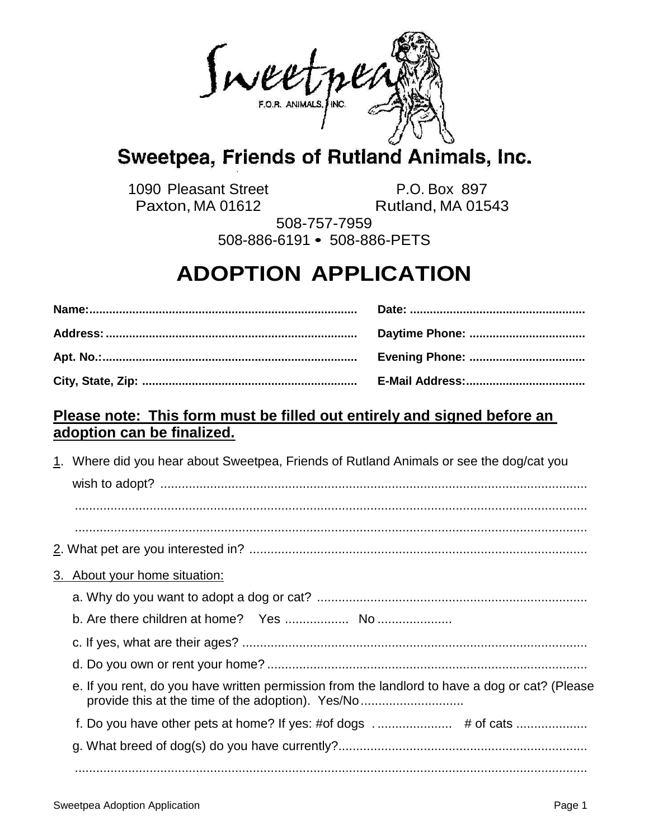Invertper

## Sweetpea, Friends of Rutland Animals, Inc.

1090 Pleasant Street P.O. Box 897 Paxton, MA 01612 Rutland, MA 01543

508-757-7959 508-886-6191 • 508-886-PETS

## **ADOPTION APPLICATION**

| <b>Evening Phone: </b> |
|------------------------|
|                        |

## **Please note: This form must be filled out entirely and signed before an adoption can be finalized.**

|                                                                                                                                                     | 1. Where did you hear about Sweetpea, Friends of Rutland Animals or see the dog/cat you |
|-----------------------------------------------------------------------------------------------------------------------------------------------------|-----------------------------------------------------------------------------------------|
|                                                                                                                                                     |                                                                                         |
|                                                                                                                                                     |                                                                                         |
|                                                                                                                                                     |                                                                                         |
|                                                                                                                                                     |                                                                                         |
|                                                                                                                                                     | 3. About your home situation:                                                           |
|                                                                                                                                                     |                                                                                         |
|                                                                                                                                                     |                                                                                         |
|                                                                                                                                                     |                                                                                         |
| e. If you rent, do you have written permission from the landlord to have a dog or cat? (Please<br>provide this at the time of the adoption). Yes/No |                                                                                         |
|                                                                                                                                                     |                                                                                         |
|                                                                                                                                                     |                                                                                         |
|                                                                                                                                                     |                                                                                         |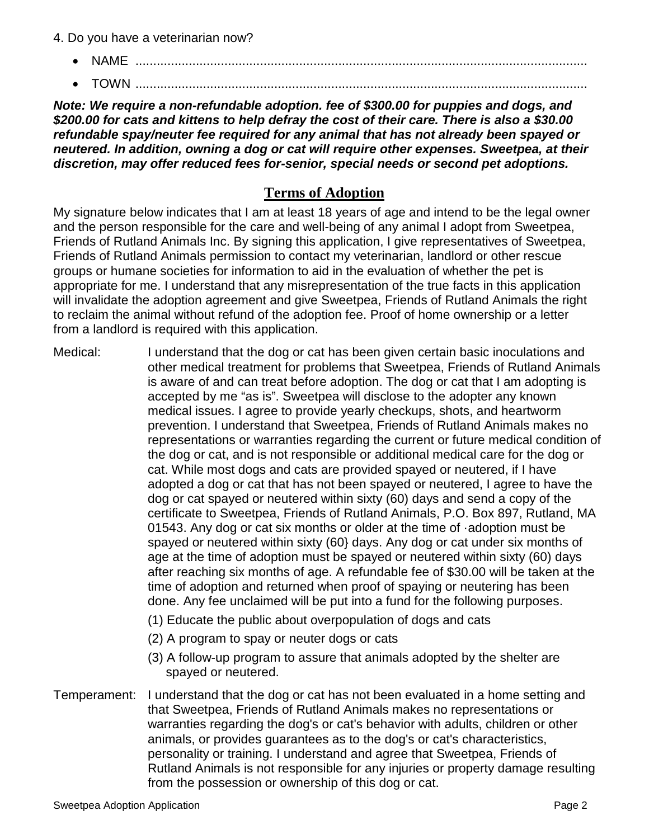- 4. Do you have a veterinarian now?
	- **NAME** .......................
	- TOWN ...............................................................................................................................

*Note: We require a non-refundable adoption. fee of \$300.00 for puppies and dogs, and \$200.00 for cats and kittens to help defray the cost of their care. There is also a \$30.00 refundable spay/neuter fee required for any animal that has not already been spayed or neutered. In addition, owning a dog or cat will require other expenses. Sweetpea, at their discretion, may offer reduced fees for-senior, special needs or second pet adoptions.*

## **Terms of Adoption**

My signature below indicates that I am at least 18 years of age and intend to be the legal owner and the person responsible for the care and well-being of any animal I adopt from Sweetpea, Friends of Rutland Animals Inc. By signing this application, I give representatives of Sweetpea, Friends of Rutland Animals permission to contact my veterinarian, landlord or other rescue groups or humane societies for information to aid in the evaluation of whether the pet is appropriate for me. I understand that any misrepresentation of the true facts in this application will invalidate the adoption agreement and give Sweetpea, Friends of Rutland Animals the right to reclaim the animal without refund of the adoption fee. Proof of home ownership or a letter from a landlord is required with this application.

Medical: I understand that the dog or cat has been given certain basic inoculations and other medical treatment for problems that Sweetpea, Friends of Rutland Animals is aware of and can treat before adoption. The dog or cat that I am adopting is accepted by me "as is". Sweetpea will disclose to the adopter any known medical issues. I agree to provide yearly checkups, shots, and heartworm prevention. I understand that Sweetpea, Friends of Rutland Animals makes no representations or warranties regarding the current or future medical condition of the dog or cat, and is not responsible or additional medical care for the dog or cat. While most dogs and cats are provided spayed or neutered, if I have adopted a dog or cat that has not been spayed or neutered, I agree to have the dog or cat spayed or neutered within sixty (60) days and send a copy of the certificate to Sweetpea, Friends of Rutland Animals, P.O. Box 897, Rutland, MA 01543. Any dog or cat six months or older at the time of ·adoption must be spayed or neutered within sixty (60} days. Any dog or cat under six months of age at the time of adoption must be spayed or neutered within sixty (60) days after reaching six months of age. A refundable fee of \$30.00 will be taken at the time of adoption and returned when proof of spaying or neutering has been done. Any fee unclaimed will be put into a fund for the following purposes.

- (1) Educate the public about overpopulation of dogs and cats
- (2) A program to spay or neuter dogs or cats
- (3) A follow-up program to assure that animals adopted by the shelter are spayed or neutered.
- Temperament: I understand that the dog or cat has not been evaluated in a home setting and that Sweetpea, Friends of Rutland Animals makes no representations or warranties regarding the dog's or cat's behavior with adults, children or other animals, or provides guarantees as to the dog's or cat's characteristics, personality or training. I understand and agree that Sweetpea, Friends of Rutland Animals is not responsible for any injuries or property damage resulting from the possession or ownership of this dog or cat.